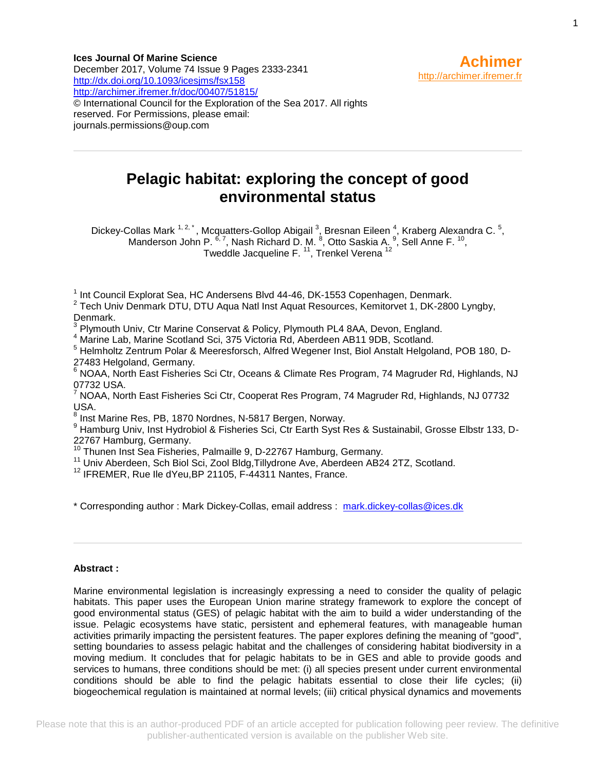**Ices Journal Of Marine Science** December 2017, Volume 74 Issue 9 Pages 2333-2341 <http://dx.doi.org/10.1093/icesjms/fsx158> <http://archimer.ifremer.fr/doc/00407/51815/> © International Council for the Exploration of the Sea 2017. All rights reserved. For Permissions, please email: journals.permissions@oup.com



# **Pelagic habitat: exploring the concept of good environmental status**

Dickey-Collas Mark <sup>1, 2, \*</sup>, Mcquatters-Gollop Abigail <sup>3</sup>, Bresnan Eileen <sup>4</sup>, Kraberg Alexandra C. <sup>5</sup>, Manderson John P.  $^{6,7}$ , Nash Richard D. M.  $^{8}$ , Otto Saskia A.  $^{9}$ , Sell Anne F.  $^{10}$ , Tweddle Jacqueline F. <sup>11</sup>, Trenkel Verena <sup>12</sup>

<sup>1</sup> Int Council Explorat Sea, HC Andersens Blvd 44-46, DK-1553 Copenhagen, Denmark.

<sup>2</sup> Tech Univ Denmark DTU, DTU Aqua Natl Inst Aquat Resources, Kemitorvet 1, DK-2800 Lyngby, Denmark.

3 Plymouth Univ, Ctr Marine Conservat & Policy, Plymouth PL4 8AA, Devon, England.

<sup>4</sup> Marine Lab, Marine Scotland Sci, 375 Victoria Rd, Aberdeen AB11 9DB, Scotland.

<sup>5</sup> Helmholtz Zentrum Polar & Meeresforsch, Alfred Wegener Inst, Biol Anstalt Helgoland, POB 180, D-27483 Helgoland, Germany.

<sup>6</sup> NOAA, North East Fisheries Sci Ctr, Oceans & Climate Res Program, 74 Magruder Rd, Highlands, NJ 07732 USA.

<sup>7</sup> NOAA, North East Fisheries Sci Ctr, Cooperat Res Program, 74 Magruder Rd, Highlands, NJ 07732 USA.

<sup>8</sup> Inst Marine Res, PB, 1870 Nordnes, N-5817 Bergen, Norway.

<sup>9</sup> Hamburg Univ, Inst Hydrobiol & Fisheries Sci, Ctr Earth Syst Res & Sustainabil, Grosse Elbstr 133, D-22767 Hamburg, Germany.

<sup>10</sup> Thunen Inst Sea Fisheries, Palmaille 9, D-22767 Hamburg, Germany.

<sup>11</sup> Univ Aberdeen, Sch Biol Sci, Zool Bldg,Tillydrone Ave, Aberdeen AB24 2TZ, Scotland.

<sup>12</sup> IFREMER, Rue Ile dYeu, BP 21105, F-44311 Nantes, France.

\* Corresponding author : Mark Dickey-Collas, email address : [mark.dickey-collas@ices.dk](file:///C:/birt/First_Page_Generation/Exports/mark.dickey-collas@ices.dk)

#### **Abstract :**

Marine environmental legislation is increasingly expressing a need to consider the quality of pelagic habitats. This paper uses the European Union marine strategy framework to explore the concept of good environmental status (GES) of pelagic habitat with the aim to build a wider understanding of the issue. Pelagic ecosystems have static, persistent and ephemeral features, with manageable human activities primarily impacting the persistent features. The paper explores defining the meaning of "good", setting boundaries to assess pelagic habitat and the challenges of considering habitat biodiversity in a moving medium. It concludes that for pelagic habitats to be in GES and able to provide goods and services to humans, three conditions should be met: (i) all species present under current environmental conditions should be able to find the pelagic habitats essential to close their life cycles; (ii) biogeochemical regulation is maintained at normal levels; (iii) critical physical dynamics and movements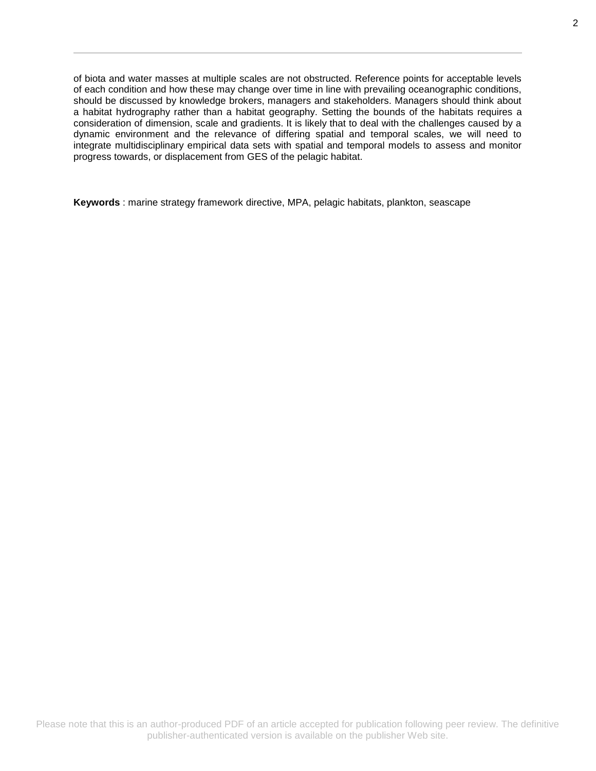of biota and water masses at multiple scales are not obstructed. Reference points for acceptable levels of each condition and how these may change over time in line with prevailing oceanographic conditions, should be discussed by knowledge brokers, managers and stakeholders. Managers should think about a habitat hydrography rather than a habitat geography. Setting the bounds of the habitats requires a consideration of dimension, scale and gradients. It is likely that to deal with the challenges caused by a dynamic environment and the relevance of differing spatial and temporal scales, we will need to integrate multidisciplinary empirical data sets with spatial and temporal models to assess and monitor progress towards, or displacement from GES of the pelagic habitat.

**Keywords** : marine strategy framework directive, MPA, pelagic habitats, plankton, seascape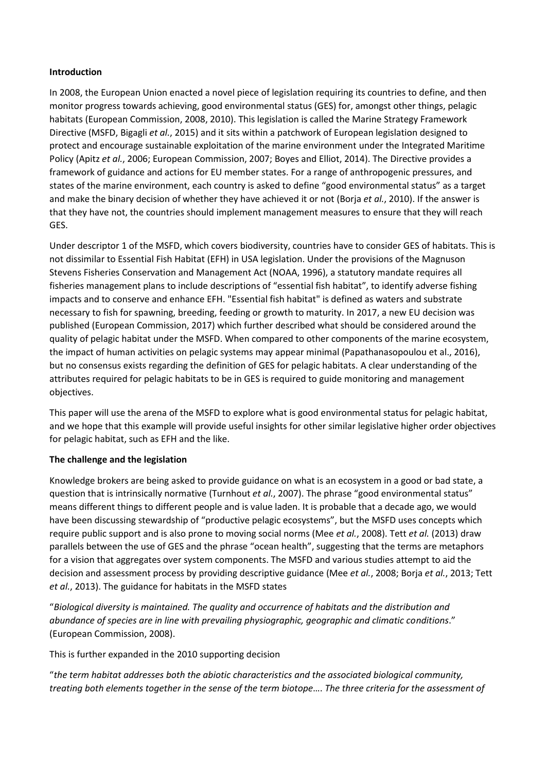#### **Introduction**

In 2008, the European Union enacted a novel piece of legislation requiring its countries to define, and then monitor progress towards achieving, good environmental status (GES) for, amongst other things, pelagic habitats (European Commission, 2008, 2010). This legislation is called the Marine Strategy Framework Directive (MSFD, Bigagli *et al.*, 2015) and it sits within a patchwork of European legislation designed to protect and encourage sustainable exploitation of the marine environment under the Integrated Maritime Policy (Apitz *et al.*, 2006; European Commission, 2007; Boyes and Elliot, 2014). The Directive provides a framework of guidance and actions for EU member states. For a range of anthropogenic pressures, and states of the marine environment, each country is asked to define "good environmental status" as a target and make the binary decision of whether they have achieved it or not (Borja *et al.*, 2010). If the answer is that they have not, the countries should implement management measures to ensure that they will reach GES.

Under descriptor 1 of the MSFD, which covers biodiversity, countries have to consider GES of habitats. This is not dissimilar to Essential Fish Habitat (EFH) in USA legislation. Under the provisions of the Magnuson Stevens Fisheries Conservation and Management Act (NOAA, 1996), a statutory mandate requires all fisheries management plans to include descriptions of "essential fish habitat", to identify adverse fishing impacts and to conserve and enhance EFH. "Essential fish habitat" is defined as waters and substrate necessary to fish for spawning, breeding, feeding or growth to maturity. In 2017, a new EU decision was published (European Commission, 2017) which further described what should be considered around the quality of pelagic habitat under the MSFD. When compared to other components of the marine ecosystem, the impact of human activities on pelagic systems may appear minimal (Papathanasopoulou et al., 2016), but no consensus exists regarding the definition of GES for pelagic habitats. A clear understanding of the attributes required for pelagic habitats to be in GES is required to guide monitoring and management objectives.

This paper will use the arena of the MSFD to explore what is good environmental status for pelagic habitat, and we hope that this example will provide useful insights for other similar legislative higher order objectives for pelagic habitat, such as EFH and the like.

#### **The challenge and the legislation**

Knowledge brokers are being asked to provide guidance on what is an ecosystem in a good or bad state, a question that is intrinsically normative (Turnhout *et al.*, 2007). The phrase "good environmental status" means different things to different people and is value laden. It is probable that a decade ago, we would have been discussing stewardship of "productive pelagic ecosystems", but the MSFD uses concepts which require public support and is also prone to moving social norms (Mee *et al.*, 2008). Tett *et al.* (2013) draw parallels between the use of GES and the phrase "ocean health", suggesting that the terms are metaphors for a vision that aggregates over system components. The MSFD and various studies attempt to aid the decision and assessment process by providing descriptive guidance (Mee *et al.*, 2008; Borja *et al.*, 2013; Tett *et al.*, 2013). The guidance for habitats in the MSFD states

"*Biological diversity is maintained. The quality and occurrence of habitats and the distribution and abundance of species are in line with prevailing physiographic, geographic and climatic conditions*." (European Commission, 2008).

This is further expanded in the 2010 supporting decision

"*the term habitat addresses both the abiotic characteristics and the associated biological community, treating both elements together in the sense of the term biotope*…. *The three criteria for the assessment of*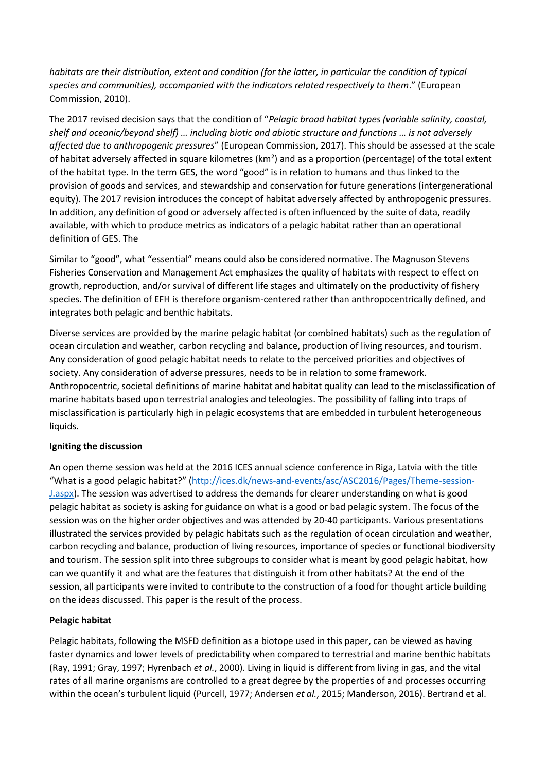*habitats are their distribution, extent and condition (for the latter, in particular the condition of typical species and communities), accompanied with the indicators related respectively to them*." (European Commission, 2010).

The 2017 revised decision says that the condition of "*Pelagic broad habitat types (variable salinity, coastal, shelf and oceanic/beyond shelf) … including biotic and abiotic structure and functions … is not adversely affected due to anthropogenic pressures*" (European Commission, 2017). This should be assessed at the scale of habitat adversely affected in square kilometres (km²) and as a proportion (percentage) of the total extent of the habitat type. In the term GES, the word "good" is in relation to humans and thus linked to the provision of goods and services, and stewardship and conservation for future generations (intergenerational equity). The 2017 revision introduces the concept of habitat adversely affected by anthropogenic pressures. In addition, any definition of good or adversely affected is often influenced by the suite of data, readily available, with which to produce metrics as indicators of a pelagic habitat rather than an operational definition of GES. The

Similar to "good", what "essential" means could also be considered normative. The Magnuson Stevens Fisheries Conservation and Management Act emphasizes the quality of habitats with respect to effect on growth, reproduction, and/or survival of different life stages and ultimately on the productivity of fishery species. The definition of EFH is therefore organism-centered rather than anthropocentrically defined, and integrates both pelagic and benthic habitats.

Diverse services are provided by the marine pelagic habitat (or combined habitats) such as the regulation of ocean circulation and weather, carbon recycling and balance, production of living resources, and tourism. Any consideration of good pelagic habitat needs to relate to the perceived priorities and objectives of society. Any consideration of adverse pressures, needs to be in relation to some framework. Anthropocentric, societal definitions of marine habitat and habitat quality can lead to the misclassification of marine habitats based upon terrestrial analogies and teleologies. The possibility of falling into traps of misclassification is particularly high in pelagic ecosystems that are embedded in turbulent heterogeneous liquids.

## **Igniting the discussion**

An open theme session was held at the 2016 ICES annual science conference in Riga, Latvia with the title "What is a good pelagic habitat?" ([http://ices.dk/news-and-events/asc/ASC2016/Pages/Theme-session-](http://ices.dk/news-and-events/asc/ASC2016/Pages/Theme-session-J.aspx)[J.aspx\)](http://ices.dk/news-and-events/asc/ASC2016/Pages/Theme-session-J.aspx). The session was advertised to address the demands for clearer understanding on what is good pelagic habitat as society is asking for guidance on what is a good or bad pelagic system. The focus of the session was on the higher order objectives and was attended by 20-40 participants. Various presentations illustrated the services provided by pelagic habitats such as the regulation of ocean circulation and weather, carbon recycling and balance, production of living resources, importance of species or functional biodiversity and tourism. The session split into three subgroups to consider what is meant by good pelagic habitat, how can we quantify it and what are the features that distinguish it from other habitats? At the end of the session, all participants were invited to contribute to the construction of a food for thought article building on the ideas discussed. This paper is the result of the process.

## **Pelagic habitat**

Pelagic habitats, following the MSFD definition as a biotope used in this paper, can be viewed as having faster dynamics and lower levels of predictability when compared to terrestrial and marine benthic habitats (Ray, 1991; Gray, 1997; Hyrenbach *et al.*, 2000). Living in liquid is different from living in gas, and the vital rates of all marine organisms are controlled to a great degree by the properties of and processes occurring within the ocean's turbulent liquid (Purcell, 1977; Andersen *et al.*, 2015; Manderson, 2016). Bertrand et al.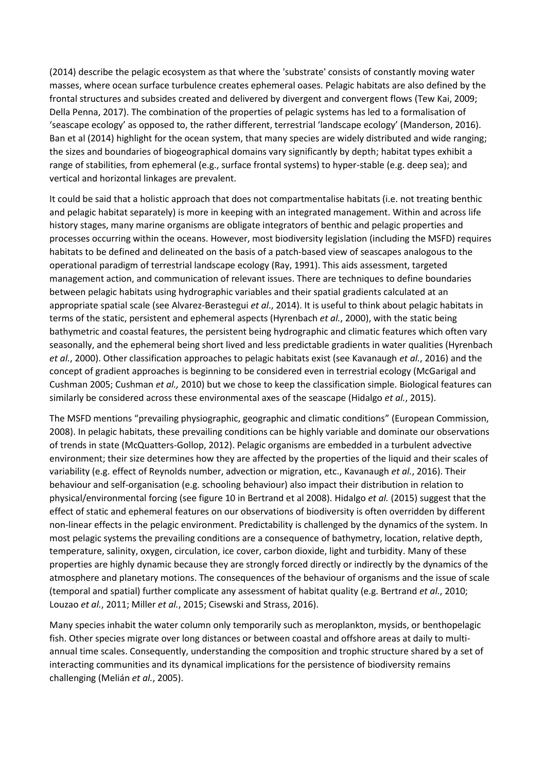(2014) describe the pelagic ecosystem as that where the 'substrate' consists of constantly moving water masses, where ocean surface turbulence creates ephemeral oases. Pelagic habitats are also defined by the frontal structures and subsides created and delivered by divergent and convergent flows (Tew Kai, 2009; Della Penna, 2017). The combination of the properties of pelagic systems has led to a formalisation of 'seascape ecology' as opposed to, the rather different, terrestrial 'landscape ecology' (Manderson, 2016). Ban et al (2014) highlight for the ocean system, that many species are widely distributed and wide ranging; the sizes and boundaries of biogeographical domains vary significantly by depth; habitat types exhibit a range of stabilities, from ephemeral (e.g., surface frontal systems) to hyper-stable (e.g. deep sea); and vertical and horizontal linkages are prevalent.

It could be said that a holistic approach that does not compartmentalise habitats (i.e. not treating benthic and pelagic habitat separately) is more in keeping with an integrated management. Within and across life history stages, many marine organisms are obligate integrators of benthic and pelagic properties and processes occurring within the oceans. However, most biodiversity legislation (including the MSFD) requires habitats to be defined and delineated on the basis of a patch-based view of seascapes analogous to the operational paradigm of terrestrial landscape ecology (Ray, 1991). This aids assessment, targeted management action, and communication of relevant issues. There are techniques to define boundaries between pelagic habitats using hydrographic variables and their spatial gradients calculated at an appropriate spatial scale (see Alvarez-Berastegui *et al*., 2014). It is useful to think about pelagic habitats in terms of the static, persistent and ephemeral aspects (Hyrenbach *et al.*, 2000), with the static being bathymetric and coastal features, the persistent being hydrographic and climatic features which often vary seasonally, and the ephemeral being short lived and less predictable gradients in water qualities (Hyrenbach *et al.*, 2000). Other classification approaches to pelagic habitats exist (see Kavanaugh *et al.*, 2016) and the concept of gradient approaches is beginning to be considered even in terrestrial ecology (McGarigal and Cushman 2005; Cushman *et al.,* 2010) but we chose to keep the classification simple. Biological features can similarly be considered across these environmental axes of the seascape (Hidalgo *et al.*, 2015).

The MSFD mentions "prevailing physiographic, geographic and climatic conditions" (European Commission, 2008). In pelagic habitats, these prevailing conditions can be highly variable and dominate our observations of trends in state (McQuatters-Gollop, 2012). Pelagic organisms are embedded in a turbulent advective environment; their size determines how they are affected by the properties of the liquid and their scales of variability (e.g. effect of Reynolds number, advection or migration, etc., Kavanaugh *et al.*, 2016). Their behaviour and self-organisation (e.g. schooling behaviour) also impact their distribution in relation to physical/environmental forcing (see figure 10 in Bertrand et al 2008). Hidalgo *et al.* (2015) suggest that the effect of static and ephemeral features on our observations of biodiversity is often overridden by different non-linear effects in the pelagic environment. Predictability is challenged by the dynamics of the system. In most pelagic systems the prevailing conditions are a consequence of bathymetry, location, relative depth, temperature, salinity, oxygen, circulation, ice cover, carbon dioxide, light and turbidity. Many of these properties are highly dynamic because they are strongly forced directly or indirectly by the dynamics of the atmosphere and planetary motions. The consequences of the behaviour of organisms and the issue of scale (temporal and spatial) further complicate any assessment of habitat quality (e.g. Bertrand *et al.*, 2010; Louzao *et al.*, 2011; Miller *et al.*, 2015; Cisewski and Strass, 2016).

Many species inhabit the water column only temporarily such as meroplankton, mysids, or benthopelagic fish. Other species migrate over long distances or between coastal and offshore areas at daily to multiannual time scales. Consequently, understanding the composition and trophic structure shared by a set of interacting communities and its dynamical implications for the persistence of biodiversity remains challenging (Melián *et al.*, 2005).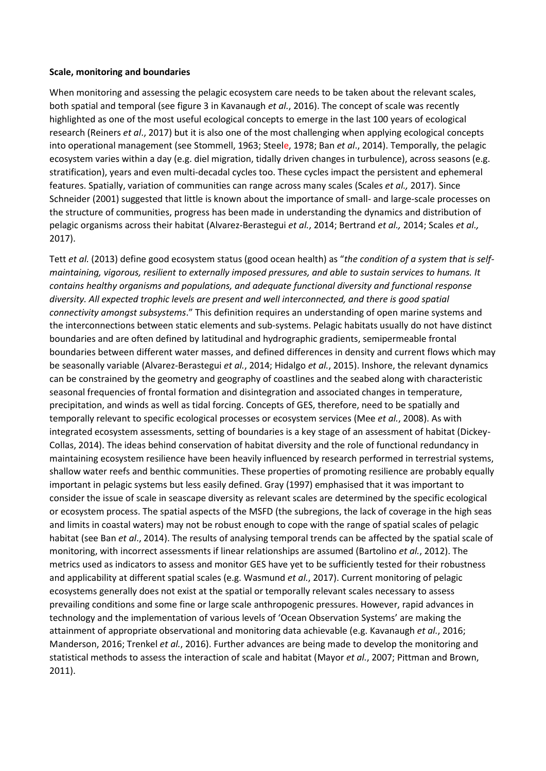#### **Scale, monitoring and boundaries**

When monitoring and assessing the pelagic ecosystem care needs to be taken about the relevant scales, both spatial and temporal (see figure 3 in Kavanaugh *et al.*, 2016). The concept of scale was recently highlighted as one of the most useful ecological concepts to emerge in the last 100 years of ecological research (Reiners *et al*., 2017) but it is also one of the most challenging when applying ecological concepts into operational management (see Stommell, 1963; Steele, 1978; Ban *et al*., 2014). Temporally, the pelagic ecosystem varies within a day (e.g. diel migration, tidally driven changes in turbulence), across seasons (e.g. stratification), years and even multi-decadal cycles too. These cycles impact the persistent and ephemeral features. Spatially, variation of communities can range across many scales (Scales *et al.,* 2017). Since Schneider (2001) suggested that little is known about the importance of small- and large-scale processes on the structure of communities, progress has been made in understanding the dynamics and distribution of pelagic organisms across their habitat (Alvarez-Berastegui *et al.*, 2014; Bertrand *et al.,* 2014; Scales *et al.,* 2017).

Tett *et al.* (2013) define good ecosystem status (good ocean health) as "*the condition of a system that is selfmaintaining, vigorous, resilient to externally imposed pressures, and able to sustain services to humans. It contains healthy organisms and populations, and adequate functional diversity and functional response diversity. All expected trophic levels are present and well interconnected, and there is good spatial connectivity amongst subsystems*." This definition requires an understanding of open marine systems and the interconnections between static elements and sub-systems. Pelagic habitats usually do not have distinct boundaries and are often defined by latitudinal and hydrographic gradients, semipermeable frontal boundaries between different water masses, and defined differences in density and current flows which may be seasonally variable (Alvarez-Berastegui *et al.*, 2014; Hidalgo *et al.*, 2015). Inshore, the relevant dynamics can be constrained by the geometry and geography of coastlines and the seabed along with characteristic seasonal frequencies of frontal formation and disintegration and associated changes in temperature, precipitation, and winds as well as tidal forcing. Concepts of GES, therefore, need to be spatially and temporally relevant to specific ecological processes or ecosystem services (Mee *et al.*, 2008). As with integrated ecosystem assessments, setting of boundaries is a key stage of an assessment of habitat (Dickey-Collas, 2014). The ideas behind conservation of habitat diversity and the role of functional redundancy in maintaining ecosystem resilience have been heavily influenced by research performed in terrestrial systems, shallow water reefs and benthic communities. These properties of promoting resilience are probably equally important in pelagic systems but less easily defined. Gray (1997) emphasised that it was important to consider the issue of scale in seascape diversity as relevant scales are determined by the specific ecological or ecosystem process. The spatial aspects of the MSFD (the subregions, the lack of coverage in the high seas and limits in coastal waters) may not be robust enough to cope with the range of spatial scales of pelagic habitat (see Ban *et al*., 2014). The results of analysing temporal trends can be affected by the spatial scale of monitoring, with incorrect assessments if linear relationships are assumed (Bartolino *et al.*, 2012). The metrics used as indicators to assess and monitor GES have yet to be sufficiently tested for their robustness and applicability at different spatial scales (e.g. Wasmund *et al.*, 2017). Current monitoring of pelagic ecosystems generally does not exist at the spatial or temporally relevant scales necessary to assess prevailing conditions and some fine or large scale anthropogenic pressures. However, rapid advances in technology and the implementation of various levels of 'Ocean Observation Systems' are making the attainment of appropriate observational and monitoring data achievable (e.g. Kavanaugh *et al.*, 2016; Manderson, 2016; Trenkel *et al.*, 2016). Further advances are being made to develop the monitoring and statistical methods to assess the interaction of scale and habitat (Mayor *et al.*, 2007; Pittman and Brown, 2011).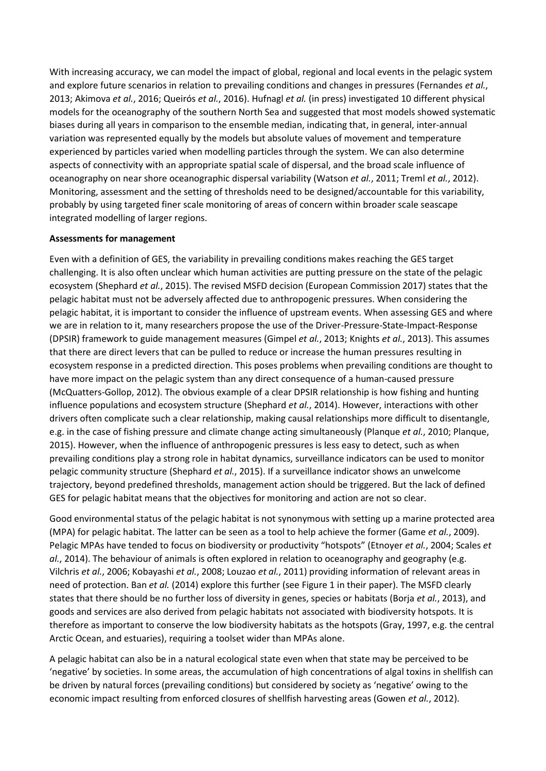With increasing accuracy, we can model the impact of global, regional and local events in the pelagic system and explore future scenarios in relation to prevailing conditions and changes in pressures (Fernandes *et al.*, 2013; Akimova *et al.*, 2016; Queirós *et al.*, 2016). Hufnagl *et al.* (in press) investigated 10 different physical models for the oceanography of the southern North Sea and suggested that most models showed systematic biases during all years in comparison to the ensemble median, indicating that, in general, inter-annual variation was represented equally by the models but absolute values of movement and temperature experienced by particles varied when modelling particles through the system. We can also determine aspects of connectivity with an appropriate spatial scale of dispersal, and the broad scale influence of oceanography on near shore oceanographic dispersal variability (Watson *et al.*, 2011; Treml *et al.*, 2012). Monitoring, assessment and the setting of thresholds need to be designed/accountable for this variability, probably by using targeted finer scale monitoring of areas of concern within broader scale seascape integrated modelling of larger regions.

### **Assessments for management**

Even with a definition of GES, the variability in prevailing conditions makes reaching the GES target challenging. It is also often unclear which human activities are putting pressure on the state of the pelagic ecosystem (Shephard *et al.*, 2015). The revised MSFD decision (European Commission 2017) states that the pelagic habitat must not be adversely affected due to anthropogenic pressures. When considering the pelagic habitat, it is important to consider the influence of upstream events. When assessing GES and where we are in relation to it, many researchers propose the use of the Driver-Pressure-State-Impact-Response (DPSIR) framework to guide management measures (Gimpel *et al.*, 2013; Knights *et al.*, 2013). This assumes that there are direct levers that can be pulled to reduce or increase the human pressures resulting in ecosystem response in a predicted direction. This poses problems when prevailing conditions are thought to have more impact on the pelagic system than any direct consequence of a human-caused pressure (McQuatters-Gollop, 2012). The obvious example of a clear DPSIR relationship is how fishing and hunting influence populations and ecosystem structure (Shephard *et al.*, 2014). However, interactions with other drivers often complicate such a clear relationship, making causal relationships more difficult to disentangle, e.g. in the case of fishing pressure and climate change acting simultaneously (Planque *et al.*, 2010; Planque, 2015). However, when the influence of anthropogenic pressures is less easy to detect, such as when prevailing conditions play a strong role in habitat dynamics, surveillance indicators can be used to monitor pelagic community structure (Shephard *et al.*, 2015). If a surveillance indicator shows an unwelcome trajectory, beyond predefined thresholds, management action should be triggered. But the lack of defined GES for pelagic habitat means that the objectives for monitoring and action are not so clear.

Good environmental status of the pelagic habitat is not synonymous with setting up a marine protected area (MPA) for pelagic habitat. The latter can be seen as a tool to help achieve the former (Game *et al.*, 2009). Pelagic MPAs have tended to focus on biodiversity or productivity "hotspots" (Etnoyer *et al.*, 2004; Scales *et al.*, 2014). The behaviour of animals is often explored in relation to oceanography and geography (e.g. Vilchris *et al.*, 2006; Kobayashi *et al.*, 2008; Louzao *et al.*, 2011) providing information of relevant areas in need of protection. Ban *et al.* (2014) explore this further (see Figure 1 in their paper). The MSFD clearly states that there should be no further loss of diversity in genes, species or habitats (Borja *et al.*, 2013), and goods and services are also derived from pelagic habitats not associated with biodiversity hotspots. It is therefore as important to conserve the low biodiversity habitats as the hotspots (Gray, 1997, e.g. the central Arctic Ocean, and estuaries), requiring a toolset wider than MPAs alone.

A pelagic habitat can also be in a natural ecological state even when that state may be perceived to be 'negative' by societies. In some areas, the accumulation of high concentrations of algal toxins in shellfish can be driven by natural forces (prevailing conditions) but considered by society as 'negative' owing to the economic impact resulting from enforced closures of shellfish harvesting areas (Gowen *et al.*, 2012).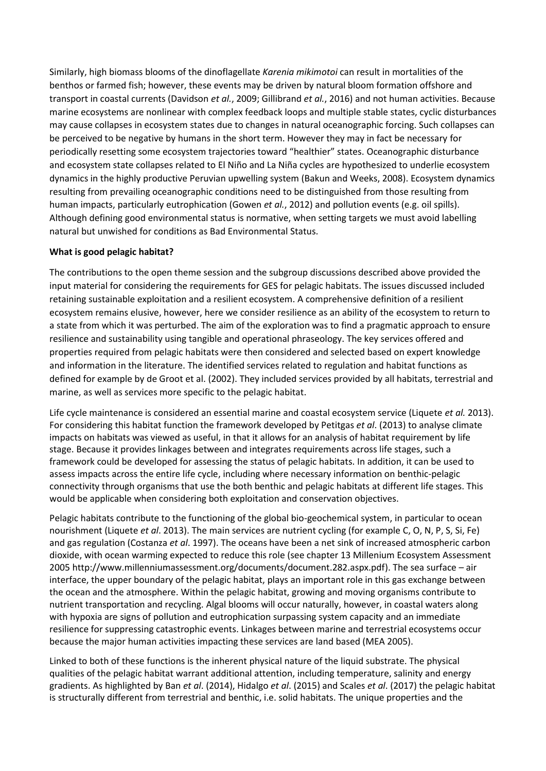Similarly, high biomass blooms of the dinoflagellate *Karenia mikimotoi* can result in mortalities of the benthos or farmed fish; however, these events may be driven by natural bloom formation offshore and transport in coastal currents (Davidson *et al.*, 2009; Gillibrand *et al.*, 2016) and not human activities. Because marine ecosystems are nonlinear with complex feedback loops and multiple stable states, cyclic disturbances may cause collapses in ecosystem states due to changes in natural oceanographic forcing. Such collapses can be perceived to be negative by humans in the short term. However they may in fact be necessary for periodically resetting some ecosystem trajectories toward "healthier" states. Oceanographic disturbance and ecosystem state collapses related to El Niño and La Niña cycles are hypothesized to underlie ecosystem dynamics in the highly productive Peruvian upwelling system (Bakun and Weeks, 2008). Ecosystem dynamics resulting from prevailing oceanographic conditions need to be distinguished from those resulting from human impacts, particularly eutrophication (Gowen *et al.*, 2012) and pollution events (e.g. oil spills). Although defining good environmental status is normative, when setting targets we must avoid labelling natural but unwished for conditions as Bad Environmental Status.

## **What is good pelagic habitat?**

The contributions to the open theme session and the subgroup discussions described above provided the input material for considering the requirements for GES for pelagic habitats. The issues discussed included retaining sustainable exploitation and a resilient ecosystem. A comprehensive definition of a resilient ecosystem remains elusive, however, here we consider resilience as an ability of the ecosystem to return to a state from which it was perturbed. The aim of the exploration was to find a pragmatic approach to ensure resilience and sustainability using tangible and operational phraseology. The key services offered and properties required from pelagic habitats were then considered and selected based on expert knowledge and information in the literature. The identified services related to regulation and habitat functions as defined for example by de Groot et al. (2002). They included services provided by all habitats, terrestrial and marine, as well as services more specific to the pelagic habitat.

Life cycle maintenance is considered an essential marine and coastal ecosystem service (Liquete *et al.* 2013). For considering this habitat function the framework developed by Petitgas *et al*. (2013) to analyse climate impacts on habitats was viewed as useful, in that it allows for an analysis of habitat requirement by life stage. Because it provides linkages between and integrates requirements across life stages, such a framework could be developed for assessing the status of pelagic habitats. In addition, it can be used to assess impacts across the entire life cycle, including where necessary information on benthic-pelagic connectivity through organisms that use the both benthic and pelagic habitats at different life stages. This would be applicable when considering both exploitation and conservation objectives.

Pelagic habitats contribute to the functioning of the global bio-geochemical system, in particular to ocean nourishment (Liquete *et al*. 2013). The main services are nutrient cycling (for example C, O, N, P, S, Si, Fe) and gas regulation (Costanza *et al*. 1997). The oceans have been a net sink of increased atmospheric carbon dioxide, with ocean warming expected to reduce this role (see chapter 13 Millenium Ecosystem Assessment 2005 http://www.millenniumassessment.org/documents/document.282.aspx.pdf). The sea surface – air interface, the upper boundary of the pelagic habitat, plays an important role in this gas exchange between the ocean and the atmosphere. Within the pelagic habitat, growing and moving organisms contribute to nutrient transportation and recycling. Algal blooms will occur naturally, however, in coastal waters along with hypoxia are signs of pollution and eutrophication surpassing system capacity and an immediate resilience for suppressing catastrophic events. Linkages between marine and terrestrial ecosystems occur because the major human activities impacting these services are land based (MEA 2005).

Linked to both of these functions is the inherent physical nature of the liquid substrate. The physical qualities of the pelagic habitat warrant additional attention, including temperature, salinity and energy gradients. As highlighted by Ban *et al*. (2014), Hidalgo *et al*. (2015) and Scales *et al*. (2017) the pelagic habitat is structurally different from terrestrial and benthic, i.e. solid habitats. The unique properties and the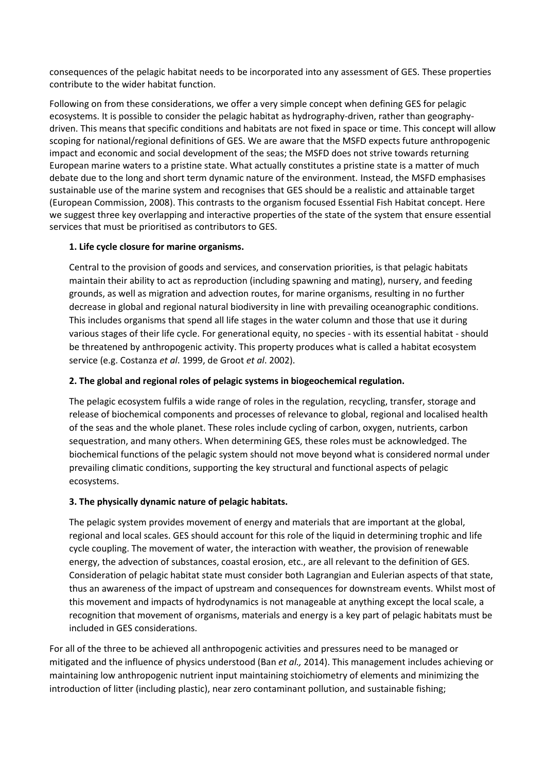consequences of the pelagic habitat needs to be incorporated into any assessment of GES. These properties contribute to the wider habitat function.

Following on from these considerations, we offer a very simple concept when defining GES for pelagic ecosystems. It is possible to consider the pelagic habitat as hydrography-driven, rather than geographydriven. This means that specific conditions and habitats are not fixed in space or time. This concept will allow scoping for national/regional definitions of GES. We are aware that the MSFD expects future anthropogenic impact and economic and social development of the seas; the MSFD does not strive towards returning European marine waters to a pristine state. What actually constitutes a pristine state is a matter of much debate due to the long and short term dynamic nature of the environment. Instead, the MSFD emphasises sustainable use of the marine system and recognises that GES should be a realistic and attainable target (European Commission, 2008). This contrasts to the organism focused Essential Fish Habitat concept. Here we suggest three key overlapping and interactive properties of the state of the system that ensure essential services that must be prioritised as contributors to GES.

## **1. Life cycle closure for marine organisms.**

Central to the provision of goods and services, and conservation priorities, is that pelagic habitats maintain their ability to act as reproduction (including spawning and mating), nursery, and feeding grounds, as well as migration and advection routes, for marine organisms, resulting in no further decrease in global and regional natural biodiversity in line with prevailing oceanographic conditions. This includes organisms that spend all life stages in the water column and those that use it during various stages of their life cycle. For generational equity, no species - with its essential habitat - should be threatened by anthropogenic activity. This property produces what is called a habitat ecosystem service (e.g. Costanza *et al*. 1999, de Groot *et al*. 2002).

## **2. The global and regional roles of pelagic systems in biogeochemical regulation.**

The pelagic ecosystem fulfils a wide range of roles in the regulation, recycling, transfer, storage and release of biochemical components and processes of relevance to global, regional and localised health of the seas and the whole planet. These roles include cycling of carbon, oxygen, nutrients, carbon sequestration, and many others. When determining GES, these roles must be acknowledged. The biochemical functions of the pelagic system should not move beyond what is considered normal under prevailing climatic conditions, supporting the key structural and functional aspects of pelagic ecosystems.

## **3. The physically dynamic nature of pelagic habitats.**

The pelagic system provides movement of energy and materials that are important at the global, regional and local scales. GES should account for this role of the liquid in determining trophic and life cycle coupling. The movement of water, the interaction with weather, the provision of renewable energy, the advection of substances, coastal erosion, etc., are all relevant to the definition of GES. Consideration of pelagic habitat state must consider both Lagrangian and Eulerian aspects of that state, thus an awareness of the impact of upstream and consequences for downstream events. Whilst most of this movement and impacts of hydrodynamics is not manageable at anything except the local scale, a recognition that movement of organisms, materials and energy is a key part of pelagic habitats must be included in GES considerations.

For all of the three to be achieved all anthropogenic activities and pressures need to be managed or mitigated and the influence of physics understood (Ban *et al.,* 2014). This management includes achieving or maintaining low anthropogenic nutrient input maintaining stoichiometry of elements and minimizing the introduction of litter (including plastic), near zero contaminant pollution, and sustainable fishing;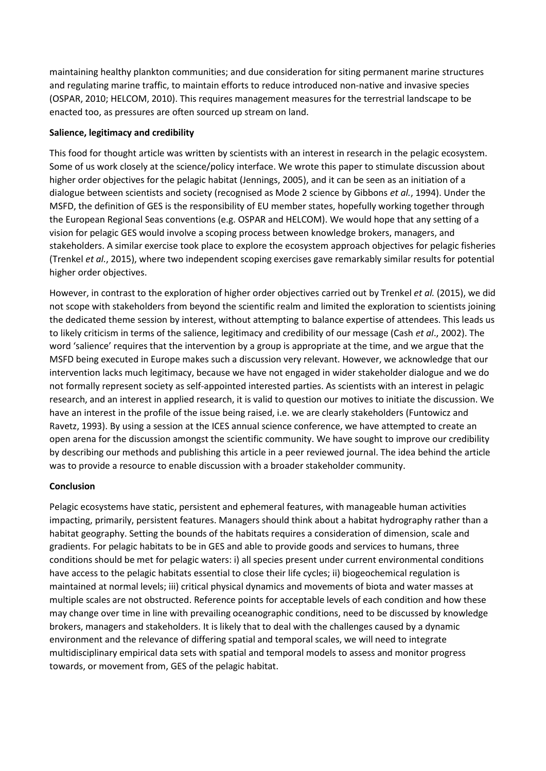maintaining healthy plankton communities; and due consideration for siting permanent marine structures and regulating marine traffic, to maintain efforts to reduce introduced non-native and invasive species (OSPAR, 2010; HELCOM, 2010). This requires management measures for the terrestrial landscape to be enacted too, as pressures are often sourced up stream on land.

### **Salience, legitimacy and credibility**

This food for thought article was written by scientists with an interest in research in the pelagic ecosystem. Some of us work closely at the science/policy interface. We wrote this paper to stimulate discussion about higher order objectives for the pelagic habitat (Jennings, 2005), and it can be seen as an initiation of a dialogue between scientists and society (recognised as Mode 2 science by Gibbons *et al.*, 1994). Under the MSFD, the definition of GES is the responsibility of EU member states, hopefully working together through the European Regional Seas conventions (e.g. OSPAR and HELCOM). We would hope that any setting of a vision for pelagic GES would involve a scoping process between knowledge brokers, managers, and stakeholders. A similar exercise took place to explore the ecosystem approach objectives for pelagic fisheries (Trenkel *et al.*, 2015), where two independent scoping exercises gave remarkably similar results for potential higher order objectives.

However, in contrast to the exploration of higher order objectives carried out by Trenkel *et al.* (2015), we did not scope with stakeholders from beyond the scientific realm and limited the exploration to scientists joining the dedicated theme session by interest, without attempting to balance expertise of attendees. This leads us to likely criticism in terms of the salience, legitimacy and credibility of our message (Cash *et al*., 2002). The word 'salience' requires that the intervention by a group is appropriate at the time, and we argue that the MSFD being executed in Europe makes such a discussion very relevant. However, we acknowledge that our intervention lacks much legitimacy, because we have not engaged in wider stakeholder dialogue and we do not formally represent society as self-appointed interested parties. As scientists with an interest in pelagic research, and an interest in applied research, it is valid to question our motives to initiate the discussion. We have an interest in the profile of the issue being raised, i.e. we are clearly stakeholders (Funtowicz and Ravetz, 1993). By using a session at the ICES annual science conference, we have attempted to create an open arena for the discussion amongst the scientific community. We have sought to improve our credibility by describing our methods and publishing this article in a peer reviewed journal. The idea behind the article was to provide a resource to enable discussion with a broader stakeholder community.

#### **Conclusion**

Pelagic ecosystems have static, persistent and ephemeral features, with manageable human activities impacting, primarily, persistent features. Managers should think about a habitat hydrography rather than a habitat geography. Setting the bounds of the habitats requires a consideration of dimension, scale and gradients. For pelagic habitats to be in GES and able to provide goods and services to humans, three conditions should be met for pelagic waters: i) all species present under current environmental conditions have access to the pelagic habitats essential to close their life cycles; ii) biogeochemical regulation is maintained at normal levels; iii) critical physical dynamics and movements of biota and water masses at multiple scales are not obstructed. Reference points for acceptable levels of each condition and how these may change over time in line with prevailing oceanographic conditions, need to be discussed by knowledge brokers, managers and stakeholders. It is likely that to deal with the challenges caused by a dynamic environment and the relevance of differing spatial and temporal scales, we will need to integrate multidisciplinary empirical data sets with spatial and temporal models to assess and monitor progress towards, or movement from, GES of the pelagic habitat.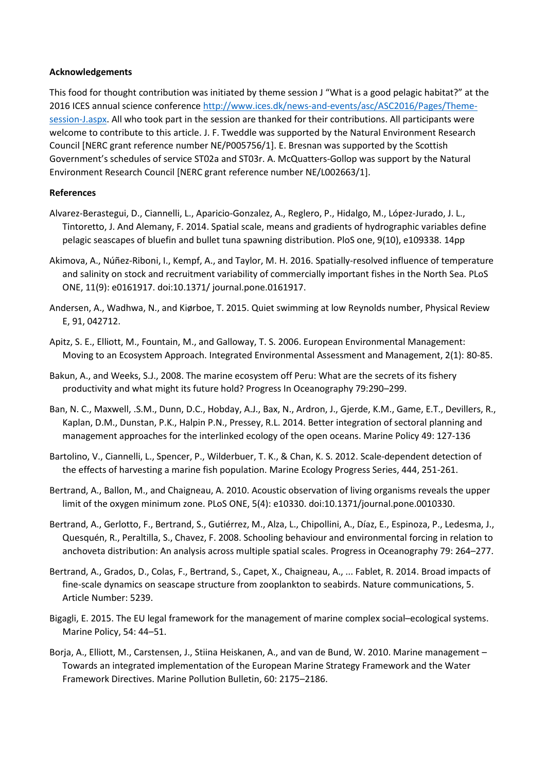#### **Acknowledgements**

This food for thought contribution was initiated by theme session J "What is a good pelagic habitat?" at the 2016 ICES annual science conference [http://www.ices.dk/news-and-events/asc/ASC2016/Pages/Theme](http://www.ices.dk/news-and-events/asc/ASC2016/Pages/Theme-session-J.aspx)[session-J.aspx.](http://www.ices.dk/news-and-events/asc/ASC2016/Pages/Theme-session-J.aspx) All who took part in the session are thanked for their contributions. All participants were welcome to contribute to this article. J. F. Tweddle was supported by the Natural Environment Research Council [NERC grant reference number NE/P005756/1]. E. Bresnan was supported by the Scottish Government's schedules of service ST02a and ST03r. A. McQuatters-Gollop was support by the Natural Environment Research Council [NERC grant reference number NE/L002663/1].

#### **References**

- Alvarez-Berastegui, D., Ciannelli, L., Aparicio-Gonzalez, A., Reglero, P., Hidalgo, M., López-Jurado, J. L., Tintoretto, J. And Alemany, F. 2014. Spatial scale, means and gradients of hydrographic variables define pelagic seascapes of bluefin and bullet tuna spawning distribution. PloS one, 9(10), e109338. 14pp
- Akimova, A., Núñez-Riboni, I., Kempf, A., and Taylor, M. H. 2016. Spatially-resolved influence of temperature and salinity on stock and recruitment variability of commercially important fishes in the North Sea. PLoS ONE, 11(9): e0161917. doi:10.1371/ journal.pone.0161917.
- Andersen, A., Wadhwa, N., and Kiørboe, T. 2015. Quiet swimming at low Reynolds number, Physical Review E, 91, 042712.
- Apitz, S. E., Elliott, M., Fountain, M., and Galloway, T. S. 2006. European Environmental Management: Moving to an Ecosystem Approach. Integrated Environmental Assessment and Management, 2(1): 80-85.
- Bakun, A., and Weeks, S.J., 2008. The marine ecosystem off Peru: What are the secrets of its fishery productivity and what might its future hold? Progress In Oceanography 79:290–299.
- Ban, N. C., Maxwell, .S.M., Dunn, D.C., Hobday, A.J., Bax, N., Ardron, J., Gjerde, K.M., Game, E.T., Devillers, R., Kaplan, D.M., Dunstan, P.K., Halpin P.N., Pressey, R.L. 2014. Better integration of sectoral planning and management approaches for the interlinked ecology of the open oceans. Marine Policy 49: 127-136
- Bartolino, V., Ciannelli, L., Spencer, P., Wilderbuer, T. K., & Chan, K. S. 2012. Scale-dependent detection of the effects of harvesting a marine fish population. Marine Ecology Progress Series, 444, 251-261.
- Bertrand, A., Ballon, M., and Chaigneau, A. 2010. Acoustic observation of living organisms reveals the upper limit of the oxygen minimum zone. PLoS ONE, 5(4): e10330. doi:10.1371/journal.pone.0010330.
- Bertrand, A., Gerlotto, F., Bertrand, S., Gutiérrez, M., Alza, L., Chipollini, A., Díaz, E., Espinoza, P., Ledesma, J., Quesquén, R., Peraltilla, S., Chavez, F. 2008. Schooling behaviour and environmental forcing in relation to anchoveta distribution: An analysis across multiple spatial scales. Progress in Oceanography 79: 264–277.
- Bertrand, A., Grados, D., Colas, F., Bertrand, S., Capet, X., Chaigneau, A., ... Fablet, R. 2014. Broad impacts of fine-scale dynamics on seascape structure from zooplankton to seabirds. Nature communications, 5. Article Number: 5239.
- Bigagli, E. 2015. The EU legal framework for the management of marine complex social–ecological systems. Marine Policy, 54: 44–51.
- Borja, A., Elliott, M., Carstensen, J., Stiina Heiskanen, A., and van de Bund, W. 2010. Marine management Towards an integrated implementation of the European Marine Strategy Framework and the Water Framework Directives. Marine Pollution Bulletin, 60: 2175–2186.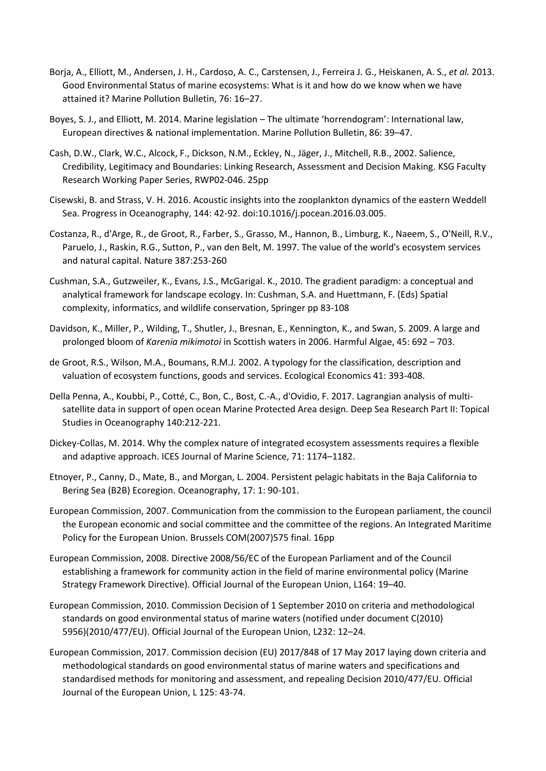- Borja, A., Elliott, M., Andersen, J. H., Cardoso, A. C., Carstensen, J., Ferreira J. G., Heiskanen, A. S., *et al.* 2013. Good Environmental Status of marine ecosystems: What is it and how do we know when we have attained it? Marine Pollution Bulletin, 76: 16–27.
- Boyes, S. J., and Elliott, M. 2014. Marine legislation The ultimate 'horrendogram': International law, European directives & national implementation. Marine Pollution Bulletin, 86: 39–47.
- Cash, D.W., Clark, W.C., Alcock, F., Dickson, N.M., Eckley, N., Jäger, J., Mitchell, R.B., 2002. Salience, Credibility, Legitimacy and Boundaries: Linking Research, Assessment and Decision Making. KSG Faculty Research Working Paper Series, RWP02-046. 25pp
- Cisewski, B. and Strass, V. H. 2016. Acoustic insights into the zooplankton dynamics of the eastern Weddell Sea. Progress in Oceanography, 144: 42-92. doi:10.1016/j.pocean.2016.03.005.
- Costanza, R., d'Arge, R., de Groot, R., Farber, S., Grasso, M., Hannon, B., Limburg, K., Naeem, S., O'Neill, R.V., Paruelo, J., Raskin, R.G., Sutton, P., van den Belt, M. 1997. The value of the world's ecosystem services and natural capital. Nature 387:253-260
- Cushman, S.A., Gutzweiler, K., Evans, J.S., McGarigal. K., 2010. The gradient paradigm: a conceptual and analytical framework for landscape ecology. In: Cushman, S.A. and Huettmann, F. (Eds) Spatial complexity, informatics, and wildlife conservation, Springer pp 83-108
- Davidson, K., Miller, P., Wilding, T., Shutler, J., Bresnan, E., Kennington, K., and Swan, S. 2009. A large and prolonged bloom of *Karenia mikimotoi* in Scottish waters in 2006. Harmful Algae, 45: 692 – 703.
- de Groot, R.S., Wilson, M.A., Boumans, R.M.J. 2002. A typology for the classification, description and valuation of ecosystem functions, goods and services. Ecological Economics 41: 393-408.
- Della Penna, A., Koubbi, P., Cotté, C., Bon, C., Bost, C.-A., d'Ovidio, F. 2017. Lagrangian analysis of multisatellite data in support of open ocean Marine Protected Area design. Deep Sea Research Part II: Topical Studies in Oceanography 140:212-221.
- Dickey-Collas, M. 2014. Why the complex nature of integrated ecosystem assessments requires a flexible and adaptive approach. ICES Journal of Marine Science, 71: 1174–1182.
- Etnoyer, P., Canny, D., Mate, B., and Morgan, L. 2004. Persistent pelagic habitats in the Baja California to Bering Sea (B2B) Ecoregion. Oceanography, 17: 1: 90-101.
- European Commission, 2007. Communication from the commission to the European parliament, the council the European economic and social committee and the committee of the regions. An Integrated Maritime Policy for the European Union. Brussels COM(2007)575 final. 16pp
- European Commission, 2008. Directive 2008/56/EC of the European Parliament and of the Council establishing a framework for community action in the field of marine environmental policy (Marine Strategy Framework Directive). Official Journal of the European Union, L164: 19–40.
- European Commission, 2010. Commission Decision of 1 September 2010 on criteria and methodological standards on good environmental status of marine waters (notified under document C(2010) 5956)(2010/477/EU). Official Journal of the European Union, L232: 12–24.
- European Commission, 2017. Commission decision (EU) 2017/848 of 17 May 2017 laying down criteria and methodological standards on good environmental status of marine waters and specifications and standardised methods for monitoring and assessment, and repealing Decision 2010/477/EU. Official Journal of the European Union, L 125: 43-74.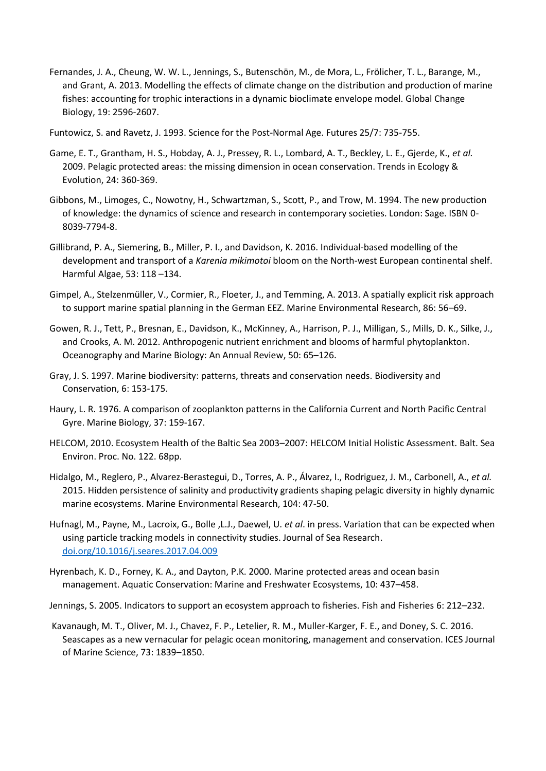- Fernandes, J. A., Cheung, W. W. L., Jennings, S., Butenschön, M., de Mora, L., Frölicher, T. L., Barange, M., and Grant, A. 2013. Modelling the effects of climate change on the distribution and production of marine fishes: accounting for trophic interactions in a dynamic bioclimate envelope model. Global Change Biology, 19: 2596-2607.
- Funtowicz, S. and Ravetz, J. 1993. Science for the Post-Normal Age. Futures 25/7: 735-755.
- Game, E. T., Grantham, H. S., Hobday, A. J., Pressey, R. L., Lombard, A. T., Beckley, L. E., Gjerde, K., *et al.* 2009. Pelagic protected areas: the missing dimension in ocean conservation. Trends in Ecology & Evolution, 24: 360-369.
- Gibbons, M., Limoges, C., Nowotny, H., Schwartzman, S., Scott, P., and Trow, M. 1994. The new production of knowledge: the dynamics of science and research in contemporary societies. London: Sage. ISBN 0- 8039-7794-8.
- Gillibrand, P. A., Siemering, B., Miller, P. I., and Davidson, K. 2016. Individual-based modelling of the development and transport of a *Karenia mikimotoi* bloom on the North-west European continental shelf. Harmful Algae, 53: 118 –134.
- Gimpel, A., Stelzenmüller, V., Cormier, R., Floeter, J., and Temming, A. 2013. A spatially explicit risk approach to support marine spatial planning in the German EEZ. Marine Environmental Research, 86: 56–69.
- Gowen, R. J., Tett, P., Bresnan, E., Davidson, K., McKinney, A., Harrison, P. J., Milligan, S., Mills, D. K., Silke, J., and Crooks, A. M. 2012. Anthropogenic nutrient enrichment and blooms of harmful phytoplankton. Oceanography and Marine Biology: An Annual Review, 50: 65–126.
- Gray, J. S. 1997. Marine biodiversity: patterns, threats and conservation needs. Biodiversity and Conservation, 6: 153-175.
- Haury, L. R. 1976. A comparison of zooplankton patterns in the California Current and North Pacific Central Gyre. Marine Biology, 37: 159-167.
- HELCOM, 2010. Ecosystem Health of the Baltic Sea 2003–2007: HELCOM Initial Holistic Assessment. Balt. Sea Environ. Proc. No. 122. 68pp.
- Hidalgo, M., Reglero, P., Alvarez-Berastegui, D., Torres, A. P., Álvarez, I., Rodriguez, J. M., Carbonell, A., *et al.* 2015. Hidden persistence of salinity and productivity gradients shaping pelagic diversity in highly dynamic marine ecosystems. Marine Environmental Research, 104: 47-50.
- Hufnagl, M., Payne, M., Lacroix, G., Bolle ,L.J., Daewel, U. *et al*. in press. Variation that can be expected when using particle tracking models in connectivity studies. Journal of Sea Research. [doi.org/10.1016/j.seares.2017.04.009](https://doi.org/10.1016/j.seares.2017.04.009)
- Hyrenbach, K. D., Forney, K. A., and Dayton, P.K. 2000. Marine protected areas and ocean basin management. Aquatic Conservation: Marine and Freshwater Ecosystems, 10: 437–458.
- Jennings, S. 2005. Indicators to support an ecosystem approach to fisheries. Fish and Fisheries 6: 212–232.
- Kavanaugh, M. T., Oliver, M. J., Chavez, F. P., Letelier, R. M., Muller-Karger, F. E., and Doney, S. C. 2016. Seascapes as a new vernacular for pelagic ocean monitoring, management and conservation. ICES Journal of Marine Science, 73: 1839–1850.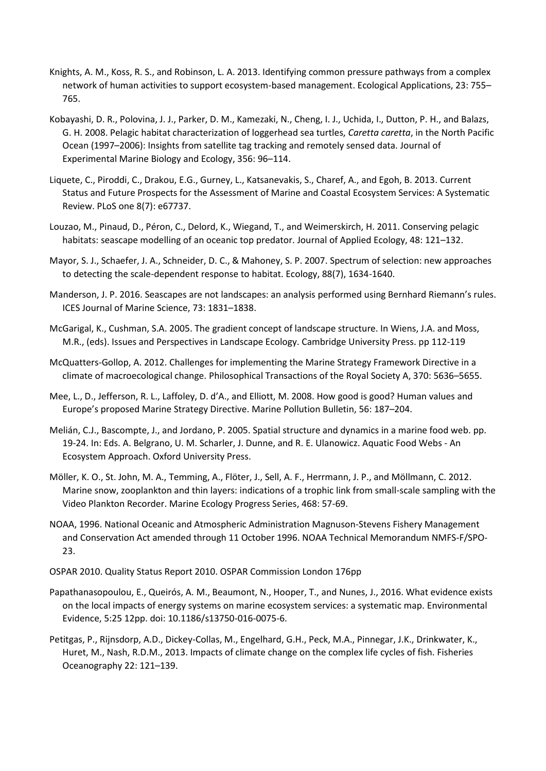- Knights, A. M., Koss, R. S., and Robinson, L. A. 2013. Identifying common pressure pathways from a complex network of human activities to support ecosystem-based management. Ecological Applications, 23: 755– 765.
- Kobayashi, D. R., Polovina, J. J., Parker, D. M., Kamezaki, N., Cheng, I. J., Uchida, I., Dutton, P. H., and Balazs, G. H. 2008. Pelagic habitat characterization of loggerhead sea turtles, *Caretta caretta*, in the North Pacific Ocean (1997–2006): Insights from satellite tag tracking and remotely sensed data. Journal of Experimental Marine Biology and Ecology, 356: 96–114.
- Liquete, C., Piroddi, C., Drakou, E.G., Gurney, L., Katsanevakis, S., Charef, A., and Egoh, B. 2013. Current Status and Future Prospects for the Assessment of Marine and Coastal Ecosystem Services: A Systematic Review. PLoS one 8(7): e67737.
- Louzao, M., Pinaud, D., Péron, C., Delord, K., Wiegand, T., and Weimerskirch, H. 2011. Conserving pelagic habitats: seascape modelling of an oceanic top predator. Journal of Applied Ecology, 48: 121–132.
- Mayor, S. J., Schaefer, J. A., Schneider, D. C., & Mahoney, S. P. 2007. Spectrum of selection: new approaches to detecting the scale‐dependent response to habitat. Ecology, 88(7), 1634-1640.
- Manderson, J. P. 2016. Seascapes are not landscapes: an analysis performed using Bernhard Riemann's rules. ICES Journal of Marine Science, 73: 1831–1838.
- McGarigal, K., Cushman, S.A. 2005. The gradient concept of landscape structure. In Wiens, J.A. and Moss, M.R., (eds). Issues and Perspectives in Landscape Ecology. Cambridge University Press. pp 112-119
- McQuatters-Gollop, A. 2012. Challenges for implementing the Marine Strategy Framework Directive in a climate of macroecological change. Philosophical Transactions of the Royal Society A, 370: 5636–5655.
- Mee, L., D., Jefferson, R. L., Laffoley, D. d'A., and Elliott, M. 2008. How good is good? Human values and Europe's proposed Marine Strategy Directive. Marine Pollution Bulletin, 56: 187–204.
- Melián, C.J., Bascompte, J., and Jordano, P. 2005. Spatial structure and dynamics in a marine food web. pp. 19-24. In: Eds. A. Belgrano, U. M. Scharler, J. Dunne, and R. E. Ulanowicz. Aquatic Food Webs - An Ecosystem Approach. Oxford University Press.
- Möller, K. O., St. John, M. A., Temming, A., Flöter, J., Sell, A. F., Herrmann, J. P., and Möllmann, C. 2012. Marine snow, zooplankton and thin layers: indications of a trophic link from small-scale sampling with the Video Plankton Recorder. Marine Ecology Progress Series, 468: 57-69.
- NOAA, 1996. National Oceanic and Atmospheric Administration Magnuson-Stevens Fishery Management and Conservation Act amended through 11 October 1996. NOAA Technical Memorandum NMFS-F/SPO-23.
- OSPAR 2010. Quality Status Report 2010. OSPAR Commission London 176pp
- Papathanasopoulou, E., Queirós, A. M., Beaumont, N., Hooper, T., and Nunes, J., 2016. What evidence exists on the local impacts of energy systems on marine ecosystem services: a systematic map. Environmental Evidence, 5:25 12pp. doi: 10.1186/s13750-016-0075-6.
- Petitgas, P., Rijnsdorp, A.D., Dickey-Collas, M., Engelhard, G.H., Peck, M.A., Pinnegar, J.K., Drinkwater, K., Huret, M., Nash, R.D.M., 2013. Impacts of climate change on the complex life cycles of fish. Fisheries Oceanography 22: 121–139.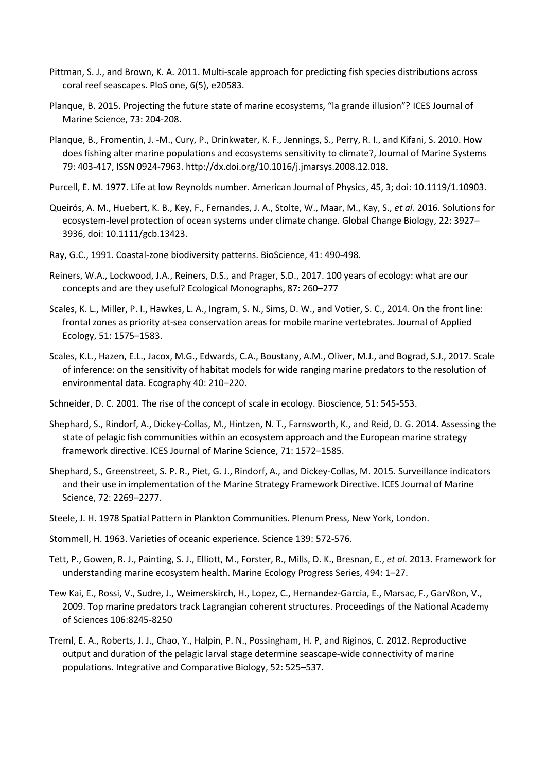- Pittman, S. J., and Brown, K. A. 2011. Multi-scale approach for predicting fish species distributions across coral reef seascapes. PloS one, 6(5), e20583.
- Planque, B. 2015. Projecting the future state of marine ecosystems, "la grande illusion"? ICES Journal of Marine Science, 73: 204-208.
- Planque, B., Fromentin, J. -M., Cury, P., Drinkwater, K. F., Jennings, S., Perry, R. I., and Kifani, S. 2010. How does fishing alter marine populations and ecosystems sensitivity to climate?, Journal of Marine Systems 79: 403-417, ISSN 0924-7963. http://dx.doi.org/10.1016/j.jmarsys.2008.12.018.
- Purcell, E. M. 1977. Life at low Reynolds number. American Journal of Physics, 45, 3; doi: 10.1119/1.10903.
- Queirós, A. M., Huebert, K. B., Key, F., Fernandes, J. A., Stolte, W., Maar, M., Kay, S., *et al.* 2016. Solutions for ecosystem-level protection of ocean systems under climate change. Global Change Biology, 22: 3927– 3936, doi: 10.1111/gcb.13423.
- Ray, G.C., 1991. Coastal-zone biodiversity patterns. BioScience, 41: 490-498.
- Reiners, W.A., Lockwood, J.A., Reiners, D.S., and Prager, S.D., 2017. 100 years of ecology: what are our concepts and are they useful? Ecological Monographs, 87: 260–277
- Scales, K. L., Miller, P. I., Hawkes, L. A., Ingram, S. N., Sims, D. W., and Votier, S. C., 2014. On the front line: frontal zones as priority at-sea conservation areas for mobile marine vertebrates. Journal of Applied Ecology, 51: 1575–1583.
- Scales, K.L., Hazen, E.L., Jacox, M.G., Edwards, C.A., Boustany, A.M., Oliver, M.J., and Bograd, S.J., 2017. Scale of inference: on the sensitivity of habitat models for wide ranging marine predators to the resolution of environmental data. Ecography 40: 210–220.
- Schneider, D. C. 2001. The rise of the concept of scale in ecology. Bioscience, 51: 545-553.
- Shephard, S., Rindorf, A., Dickey-Collas, M., Hintzen, N. T., Farnsworth, K., and Reid, D. G. 2014. Assessing the state of pelagic fish communities within an ecosystem approach and the European marine strategy framework directive. ICES Journal of Marine Science, 71: 1572–1585.
- Shephard, S., Greenstreet, S. P. R., Piet, G. J., Rindorf, A., and Dickey-Collas, M. 2015. Surveillance indicators and their use in implementation of the Marine Strategy Framework Directive. ICES Journal of Marine Science, 72: 2269–2277.
- Steele, J. H. 1978 Spatial Pattern in Plankton Communities. Plenum Press, New York, London.
- Stommell, H. 1963. Varieties of oceanic experience. Science 139: 572-576.
- Tett, P., Gowen, R. J., Painting, S. J., Elliott, M., Forster, R., Mills, D. K., Bresnan, E., *et al.* 2013. Framework for understanding marine ecosystem health. Marine Ecology Progress Series, 494: 1–27.
- Tew Kai, E., Rossi, V., Sudre, J., Weimerskirch, H., Lopez, C., Hernandez-Garcia, E., Marsac, F., Garvßon, V., 2009. Top marine predators track Lagrangian coherent structures. Proceedings of the National Academy of Sciences 106:8245-8250
- Treml, E. A., Roberts, J. J., Chao, Y., Halpin, P. N., Possingham, H. P, and Riginos, C. 2012. Reproductive output and duration of the pelagic larval stage determine seascape-wide connectivity of marine populations. Integrative and Comparative Biology, 52: 525–537.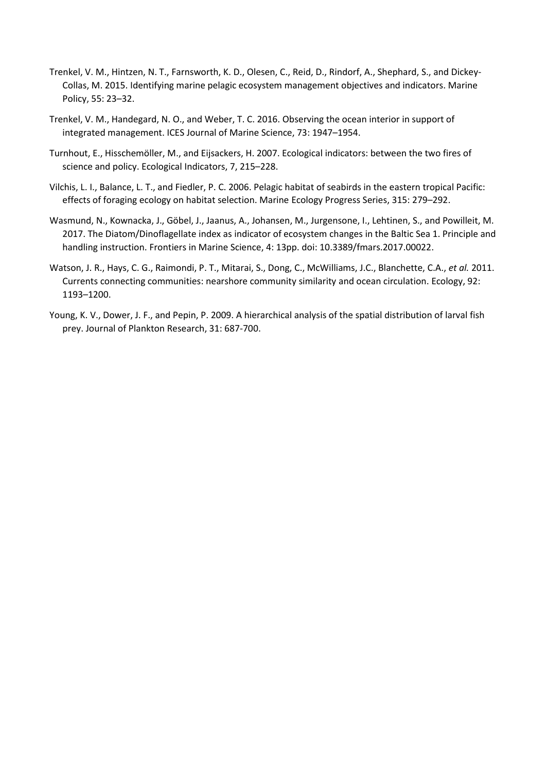- Trenkel, V. M., Hintzen, N. T., Farnsworth, K. D., Olesen, C., Reid, D., Rindorf, A., Shephard, S., and Dickey-Collas, M. 2015. Identifying marine pelagic ecosystem management objectives and indicators. Marine Policy, 55: 23–32.
- Trenkel, V. M., Handegard, N. O., and Weber, T. C. 2016. Observing the ocean interior in support of integrated management. ICES Journal of Marine Science, 73: 1947–1954.
- Turnhout, E., Hisschemöller, M., and Eijsackers, H. 2007. Ecological indicators: between the two fires of science and policy. Ecological Indicators, 7, 215–228.
- Vilchis, L. I., Balance, L. T., and Fiedler, P. C. 2006. Pelagic habitat of seabirds in the eastern tropical Pacific: effects of foraging ecology on habitat selection. Marine Ecology Progress Series, 315: 279–292.
- Wasmund, N., Kownacka, J., Göbel, J., Jaanus, A., Johansen, M., Jurgensone, I., Lehtinen, S., and Powilleit, M. 2017. The Diatom/Dinoflagellate index as indicator of ecosystem changes in the Baltic Sea 1. Principle and handling instruction. Frontiers in Marine Science, 4: 13pp. doi: 10.3389/fmars.2017.00022.
- Watson, J. R., Hays, C. G., Raimondi, P. T., Mitarai, S., Dong, C., McWilliams, J.C., Blanchette, C.A., *et al.* 2011. Currents connecting communities: nearshore community similarity and ocean circulation. Ecology, 92: 1193–1200.
- Young, K. V., Dower, J. F., and Pepin, P. 2009. A hierarchical analysis of the spatial distribution of larval fish prey. Journal of Plankton Research, 31: 687-700.